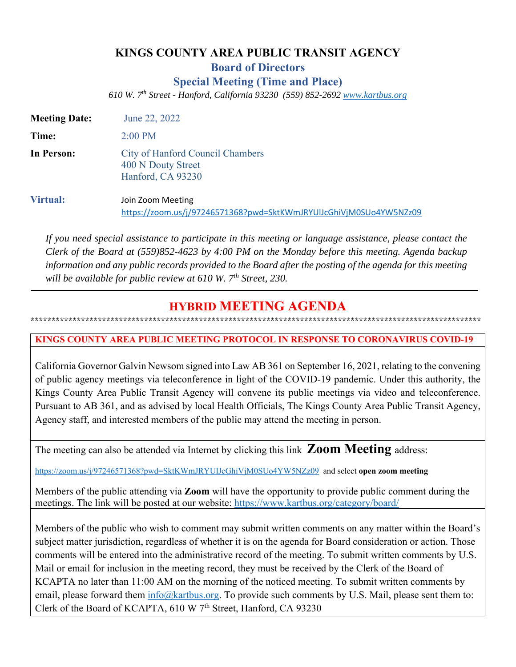# **KINGS COUNTY AREA PUBLIC TRANSIT AGENCY Board of Directors Special Meeting (Time and Place)**

*610 W. 7th Street - Hanford, California 93230 (559) 852-2692 www.kartbus.org* 

| <b>Meeting Date:</b> | June 22, 2022                                                                           |
|----------------------|-----------------------------------------------------------------------------------------|
| Time:                | $2:00 \text{ PM}$                                                                       |
| In Person:           | City of Hanford Council Chambers<br>400 N Douty Street<br>Hanford, CA 93230             |
| <b>Virtual:</b>      | Join Zoom Meeting<br>https://zoom.us/j/97246571368?pwd=SktKWmJRYUlJcGhiVjM0SUo4YW5NZz09 |

*If you need special assistance to participate in this meeting or language assistance, please contact the Clerk of the Board at (559)852-4623 by 4:00 PM on the Monday before this meeting. Agenda backup information and any public records provided to the Board after the posting of the agenda for this meeting*  will be available for public review at 610 W. 7<sup>th</sup> Street, 230.

# **HYBRID MEETING AGENDA \*\*\*\*\*\*\*\*\*\*\*\*\*\*\*\*\*\*\*\*\*\*\*\*\*\*\*\*\*\*\*\*\*\*\*\*\*\*\*\*\*\*\*\*\*\*\*\*\*\*\*\*\*\*\*\*\*\*\*\*\*\*\*\*\*\*\*\*\*\*\*\*\*\*\*\*\*\*\*\*\*\*\*\*\*\*\*\*\*\*\*\*\*\*\*\*\*\*\*\*\*\*\*\*\*\*\***

# **KINGS COUNTY AREA PUBLIC MEETING PROTOCOL IN RESPONSE TO CORONAVIRUS COVID-19**

California Governor Galvin Newsom signed into Law AB 361 on September 16, 2021, relating to the convening of public agency meetings via teleconference in light of the COVID-19 pandemic. Under this authority, the Kings County Area Public Transit Agency will convene its public meetings via video and teleconference. Pursuant to AB 361, and as advised by local Health Officials, The Kings County Area Public Transit Agency, Agency staff, and interested members of the public may attend the meeting in person.

The meeting can also be attended via Internet by clicking this link **Zoom Meeting** address:

https://zoom.us/j/97246571368?pwd=SktKWmJRYUlJcGhiVjM0SUo4YW5NZz09 and select **open zoom meeting**

Members of the public attending via **Zoom** will have the opportunity to provide public comment during the meetings. The link will be posted at our website: https://www.kartbus.org/category/board/

Members of the public who wish to comment may submit written comments on any matter within the Board's subject matter jurisdiction, regardless of whether it is on the agenda for Board consideration or action. Those comments will be entered into the administrative record of the meeting. To submit written comments by U.S. Mail or email for inclusion in the meeting record, they must be received by the Clerk of the Board of KCAPTA no later than 11:00 AM on the morning of the noticed meeting. To submit written comments by email, please forward them  $info@kartbus.org$ . To provide such comments by U.S. Mail, please sent them to: Clerk of the Board of KCAPTA, 610 W 7<sup>th</sup> Street, Hanford, CA 93230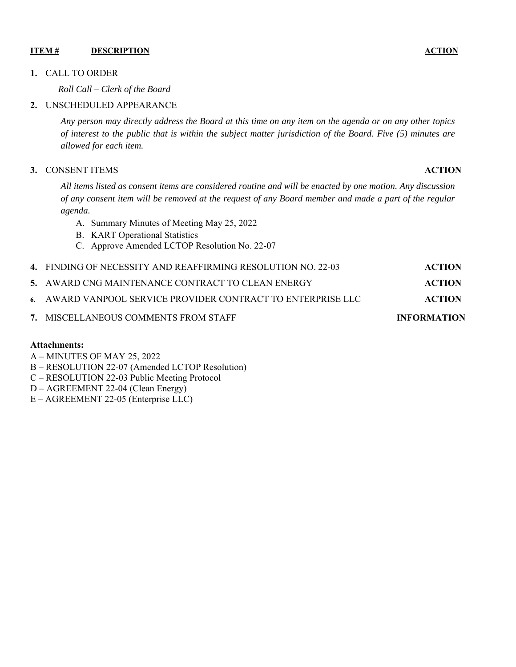#### **ITEM # DESCRIPTION ACTION** ACTION

#### **1.** CALL TO ORDER

*Roll Call – Clerk of the Board* 

#### **2.** UNSCHEDULED APPEARANCE

*Any person may directly address the Board at this time on any item on the agenda or on any other topics of interest to the public that is within the subject matter jurisdiction of the Board. Five (5) minutes are allowed for each item.* 

#### **3.** CONSENT ITEMS **ACTION**

*All items listed as consent items are considered routine and will be enacted by one motion. Any discussion of any consent item will be removed at the request of any Board member and made a part of the regular agenda.* 

- A. Summary Minutes of Meeting May 25, 2022
- B. KART Operational Statistics
- C. Approve Amended LCTOP Resolution No. 22-07

| 7. MISCELLANEOUS COMMENTS FROM STAFF                         | <b>INFORMATION</b> |
|--------------------------------------------------------------|--------------------|
| 6. AWARD VANPOOL SERVICE PROVIDER CONTRACT TO ENTERPRISE LLC | ACTION             |
| 5. AWARD CNG MAINTENANCE CONTRACT TO CLEAN ENERGY            | ACTION             |
| 4. FINDING OF NECESSITY AND REAFFIRMING RESOLUTION NO. 22-03 | <b>ACTION</b>      |

#### **Attachments:**

- A MINUTES OF MAY 25, 2022
- B RESOLUTION 22-07 (Amended LCTOP Resolution)
- C RESOLUTION 22-03 Public Meeting Protocol
- D AGREEMENT 22-04 (Clean Energy)
- E AGREEMENT 22-05 (Enterprise LLC)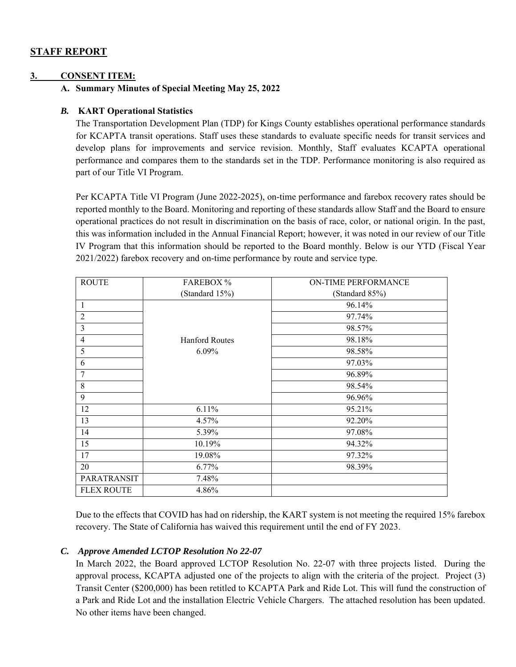# **STAFF REPORT**

#### **3. CONSENT ITEM:**

#### **A. Summary Minutes of Special Meeting May 25, 2022**

#### *B.* **KART Operational Statistics**

The Transportation Development Plan (TDP) for Kings County establishes operational performance standards for KCAPTA transit operations. Staff uses these standards to evaluate specific needs for transit services and develop plans for improvements and service revision. Monthly, Staff evaluates KCAPTA operational performance and compares them to the standards set in the TDP. Performance monitoring is also required as part of our Title VI Program.

 Per KCAPTA Title VI Program (June 2022-2025), on-time performance and farebox recovery rates should be reported monthly to the Board. Monitoring and reporting of these standards allow Staff and the Board to ensure operational practices do not result in discrimination on the basis of race, color, or national origin. In the past, this was information included in the Annual Financial Report; however, it was noted in our review of our Title IV Program that this information should be reported to the Board monthly. Below is our YTD (Fiscal Year 2021/2022) farebox recovery and on-time performance by route and service type.

| <b>ROUTE</b>      | <b>FAREBOX</b> %      | <b>ON-TIME PERFORMANCE</b> |  |
|-------------------|-----------------------|----------------------------|--|
|                   | (Standard 15%)        | (Standard 85%)             |  |
| 1                 |                       | 96.14%                     |  |
| $\overline{2}$    |                       | 97.74%                     |  |
| 3                 |                       | 98.57%                     |  |
| 4                 | <b>Hanford Routes</b> | 98.18%                     |  |
| 5                 | 6.09%                 | 98.58%                     |  |
| 6                 |                       | 97.03%                     |  |
| 7                 |                       | 96.89%                     |  |
| 8                 |                       | 98.54%                     |  |
| 9                 |                       | 96.96%                     |  |
| 12                | 6.11%                 | 95.21%                     |  |
| 13                | 4.57%                 | 92.20%                     |  |
| 14                | 5.39%                 | 97.08%                     |  |
| 15                | 10.19%                | 94.32%                     |  |
| 17                | 19.08%                | 97.32%                     |  |
| 20                | 6.77%                 | 98.39%                     |  |
| PARATRANSIT       | 7.48%                 |                            |  |
| <b>FLEX ROUTE</b> | 4.86%                 |                            |  |

Due to the effects that COVID has had on ridership, the KART system is not meeting the required 15% farebox recovery. The State of California has waived this requirement until the end of FY 2023.

#### *C. Approve Amended LCTOP Resolution No 22-07*

In March 2022, the Board approved LCTOP Resolution No. 22-07 with three projects listed. During the approval process, KCAPTA adjusted one of the projects to align with the criteria of the project. Project (3) Transit Center (\$200,000) has been retitled to KCAPTA Park and Ride Lot. This will fund the construction of a Park and Ride Lot and the installation Electric Vehicle Chargers. The attached resolution has been updated. No other items have been changed.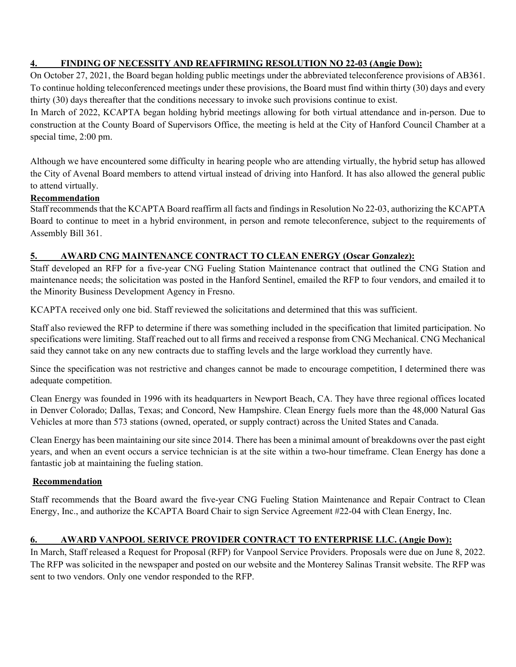# **4. FINDING OF NECESSITY AND REAFFIRMING RESOLUTION NO 22-03 (Angie Dow):**

On October 27, 2021, the Board began holding public meetings under the abbreviated teleconference provisions of AB361. To continue holding teleconferenced meetings under these provisions, the Board must find within thirty (30) days and every thirty (30) days thereafter that the conditions necessary to invoke such provisions continue to exist.

In March of 2022, KCAPTA began holding hybrid meetings allowing for both virtual attendance and in-person. Due to construction at the County Board of Supervisors Office, the meeting is held at the City of Hanford Council Chamber at a special time, 2:00 pm.

Although we have encountered some difficulty in hearing people who are attending virtually, the hybrid setup has allowed the City of Avenal Board members to attend virtual instead of driving into Hanford. It has also allowed the general public to attend virtually.

## **Recommendation**

Staff recommends that the KCAPTA Board reaffirm all facts and findings in Resolution No 22-03, authorizing the KCAPTA Board to continue to meet in a hybrid environment, in person and remote teleconference, subject to the requirements of Assembly Bill 361.

## **5. AWARD CNG MAINTENANCE CONTRACT TO CLEAN ENERGY (Oscar Gonzalez):**

Staff developed an RFP for a five-year CNG Fueling Station Maintenance contract that outlined the CNG Station and maintenance needs; the solicitation was posted in the Hanford Sentinel, emailed the RFP to four vendors, and emailed it to the Minority Business Development Agency in Fresno.

KCAPTA received only one bid. Staff reviewed the solicitations and determined that this was sufficient.

Staff also reviewed the RFP to determine if there was something included in the specification that limited participation. No specifications were limiting. Staff reached out to all firms and received a response from CNG Mechanical. CNG Mechanical said they cannot take on any new contracts due to staffing levels and the large workload they currently have.

Since the specification was not restrictive and changes cannot be made to encourage competition, I determined there was adequate competition.

Clean Energy was founded in 1996 with its headquarters in Newport Beach, CA. They have three regional offices located in Denver Colorado; Dallas, Texas; and Concord, New Hampshire. Clean Energy fuels more than the 48,000 Natural Gas Vehicles at more than 573 stations (owned, operated, or supply contract) across the United States and Canada.

Clean Energy has been maintaining our site since 2014. There has been a minimal amount of breakdowns over the past eight years, and when an event occurs a service technician is at the site within a two-hour timeframe. Clean Energy has done a fantastic job at maintaining the fueling station.

## **Recommendation**

Staff recommends that the Board award the five-year CNG Fueling Station Maintenance and Repair Contract to Clean Energy, Inc., and authorize the KCAPTA Board Chair to sign Service Agreement #22-04 with Clean Energy, Inc.

# **6. AWARD VANPOOL SERIVCE PROVIDER CONTRACT TO ENTERPRISE LLC. (Angie Dow):**

In March, Staff released a Request for Proposal (RFP) for Vanpool Service Providers. Proposals were due on June 8, 2022. The RFP was solicited in the newspaper and posted on our website and the Monterey Salinas Transit website. The RFP was sent to two vendors. Only one vendor responded to the RFP.